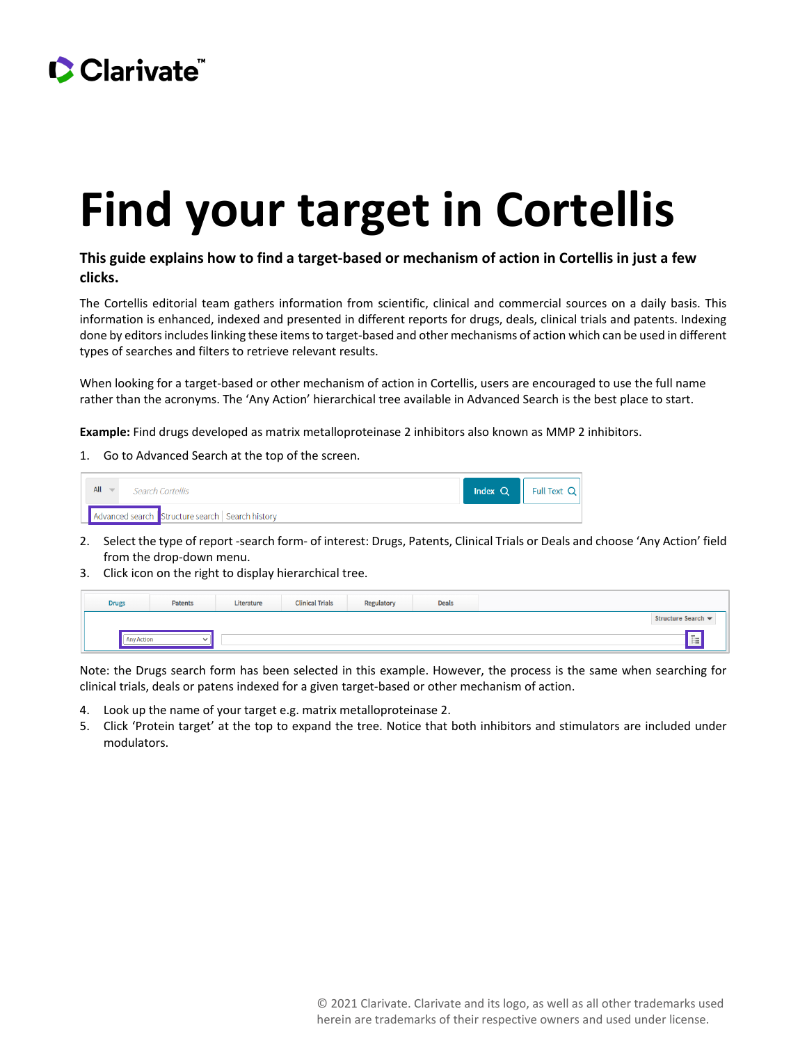## CClarivate

## **Find your target in Cortellis**

## **This guide explains how to find a target-based or mechanism of action in Cortellis in just a few clicks.**

The Cortellis editorial team gathers information from scientific, clinical and commercial sources on a daily basis. This information is enhanced, indexed and presented in different reports for drugs, deals, clinical trials and patents. Indexing done by editors includes linking these items to target-based and other mechanisms of action which can be used in different types of searches and filters to retrieve relevant results.

When looking for a target-based or other mechanism of action in Cortellis, users are encouraged to use the full name rather than the acronyms. The 'Any Action' hierarchical tree available in Advanced Search is the best place to start.

**Example:** Find drugs developed as matrix metalloproteinase 2 inhibitors also known as MMP 2 inhibitors.

1. Go to Advanced Search at the top of the screen.



- 2. Select the type of report -search form- of interest: Drugs, Patents, Clinical Trials or Deals and choose 'Any Action' field from the drop-down menu.
- 3. Click icon on the right to display hierarchical tree.

| <b>Drugs</b>      | <b>Patents</b> | Literature | <b>Clinical Trials</b> | Regulatory | <b>Deals</b> |
|-------------------|----------------|------------|------------------------|------------|--------------|
|                   |                |            |                        |            |              |
| <b>Any Action</b> | $\checkmark$   |            |                        |            |              |

Note: the Drugs search form has been selected in this example. However, the process is the same when searching for clinical trials, deals or patens indexed for a given target-based or other mechanism of action.

- 4. Look up the name of your target e.g. matrix metalloproteinase 2.
- 5. Click 'Protein target' at the top to expand the tree. Notice that both inhibitors and stimulators are included under modulators.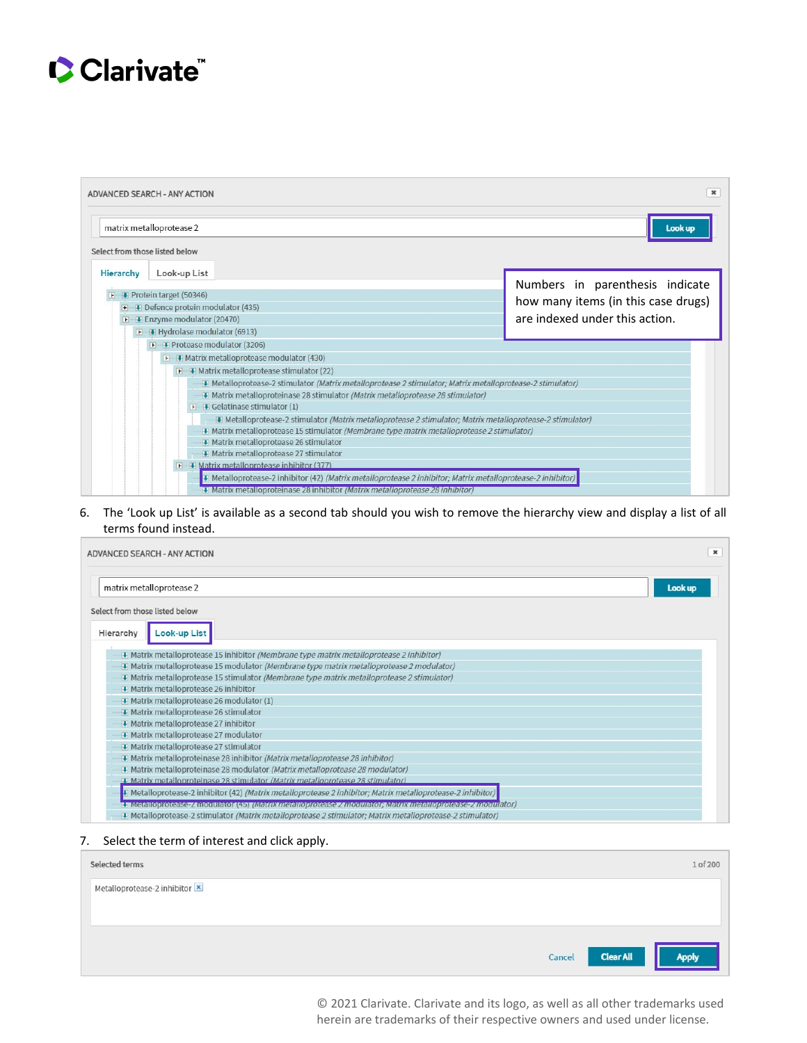

|                                                                                                           | ADVANCED SEARCH - ANY ACTION                                                                                | ×                                   |  |  |  |  |  |
|-----------------------------------------------------------------------------------------------------------|-------------------------------------------------------------------------------------------------------------|-------------------------------------|--|--|--|--|--|
|                                                                                                           | matrix metalloprotease 2                                                                                    | Look up                             |  |  |  |  |  |
| Select from those listed below                                                                            |                                                                                                             |                                     |  |  |  |  |  |
| Hierarchy                                                                                                 | Look-up List                                                                                                |                                     |  |  |  |  |  |
| $\mathbf{F}$                                                                                              | Protein target (50346)                                                                                      | Numbers in parenthesis indicate     |  |  |  |  |  |
|                                                                                                           | $\blacksquare$ Defence protein modulator (435)                                                              | how many items (in this case drugs) |  |  |  |  |  |
| are indexed under this action.<br><b>T</b> Enzyme modulator (20470)                                       |                                                                                                             |                                     |  |  |  |  |  |
| F Hydrolase modulator (6913)                                                                              |                                                                                                             |                                     |  |  |  |  |  |
|                                                                                                           | Protease modulator (3206)                                                                                   |                                     |  |  |  |  |  |
| I I Matrix metalloprotease modulator (430)<br>$\blacksquare$ Matrix metalloprotease stimulator (22)       |                                                                                                             |                                     |  |  |  |  |  |
|                                                                                                           |                                                                                                             |                                     |  |  |  |  |  |
|                                                                                                           | # Matrix metalloproteinase 28 stimulator (Matrix metalloprotease 28 stimulator)                             |                                     |  |  |  |  |  |
| $\blacksquare$ Gelatinase stimulator (1)                                                                  |                                                                                                             |                                     |  |  |  |  |  |
| I Metalloprotease-2 stimulator (Matrix metalloprotease 2 stimulator; Matrix metalloprotease-2 stimulator) |                                                                                                             |                                     |  |  |  |  |  |
| · Matrix metalloprotease 15 stimulator (Membrane type matrix metalloprotease 2 stimulator)                |                                                                                                             |                                     |  |  |  |  |  |
|                                                                                                           | Matrix metalloprotease 26 stimulator<br>Matrix metalloprotease 27 stimulator                                |                                     |  |  |  |  |  |
| I Matrix metalloprotease inhibitor (377)                                                                  |                                                                                                             |                                     |  |  |  |  |  |
|                                                                                                           | + Metalloprotease-2 inhibitor (42) (Matrix metalloprotease 2 inhibitor; Matrix metalloprotease-2 inhibitor) |                                     |  |  |  |  |  |
|                                                                                                           | <b>L'IMatrix metalloprotemase 28 minibitor <i>(Matrix metalloprotease 28 minibitor</i>)</b>                 |                                     |  |  |  |  |  |

6. The 'Look up List' is available as a second tab should you wish to remove the hierarchy view and display a list of all terms found instead.

| ADVANCED SEARCH - ANY ACTION                                                                                  | $\mathbf x$ |
|---------------------------------------------------------------------------------------------------------------|-------------|
| matrix metalloprotease 2                                                                                      | Look up     |
| Select from those listed below                                                                                |             |
| Look-up List<br>Hierarchy                                                                                     |             |
| [4] Matrix metalloprotease 15 inhibitor (Membrane type matrix metalloprotease 2 inhibitor)                    |             |
| · Matrix metalloprotease 15 modulator (Membrane type matrix metalloprotease 2 modulator)                      |             |
| [4] Matrix metalloprotease 15 stimulator (Membrane type matrix metalloprotease 2 stimulator)                  |             |
| Matrix metalloprotease 26 inhibitor                                                                           |             |
| Matrix metalloprotease 26 modulator (1)                                                                       |             |
| Matrix metalloprotease 26 stimulator                                                                          |             |
| Matrix metalloprotease 27 inhibitor                                                                           |             |
| Matrix metalloprotease 27 modulator                                                                           |             |
| Matrix metalloprotease 27 stimulator                                                                          |             |
| • Matrix metalloproteinase 28 inhibitor (Matrix metalloprotease 28 inhibitor)                                 |             |
| 4 Matrix metalloproteinase 28 modulator (Matrix metalloprotease 28 modulator)                                 |             |
| U Matrix metalloproteinase 28 stimulator (Matrix metalloprotease 28 stimulator)                               |             |
| [4] Metalloprotease-2 inhibitor (42) (Matrix metalloprotease 2 inhibitor; Matrix metalloprotease-2 inhibitor) |             |
| 1. Metalloprotease-z modulator (45) Matrix metalloprotease z modulator, Matrix metalloprotease-z modulator)   |             |
| · Metalloprotease-2 stimulator (Matrix metalloprotease 2 stimulator; Matrix metalloprotease-2 stimulator)     |             |

7. Select the term of interest and click apply.

| Selected terms                | 1 of 200                            |
|-------------------------------|-------------------------------------|
| Metalloprotease-2 inhibitor X |                                     |
|                               |                                     |
|                               | Apply<br><b>Clear All</b><br>Cancel |

© 2021 Clarivate. Clarivate and its logo, as well as all other trademarks used herein are trademarks of their respective owners and used under license.